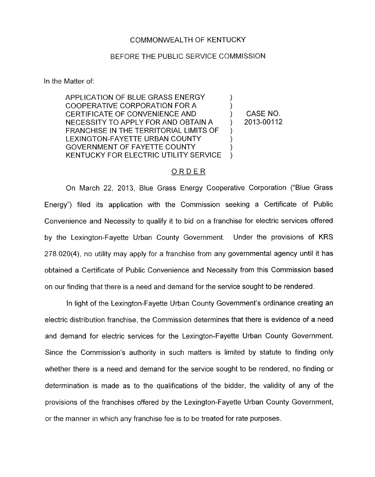## COMMONWEALTH OF KENTUCKY

## BEFORE THE PUBLIC SERVICE COMMISSION

In the Matter of:

APPLICATION OF BLUE GRASS ENERGY  $\qquad \qquad$  )<br>COOPERATIVE CORPORATION FOR A CERTIFICATE OF CONVENIENCE AND ) CASE NO. FRANCHISE IN THE TERRITORIAL LIMITS OF NECESSITY TO APPLY FOR AND OBTAIN A (2013-00112  $\sum_{i=1}^n$ LEXINGTON-FAYETTE URBAN COUNTY GOVERNMENT OF FAYETTE COUNTY (3) KENTUCKY FOR ELECTRIC UTILITY SERVICE

## \_\_ ORDER

On March 22, 2013, Blue Grass Energy Cooperative Corporation ("Blue Grass Energy") filed its application with the Commission seeking a Certificate of Public Convenience and Necessity to qualify it to bid on a franchise for electric services offered by the Lexington-Fayette Urban County Government. Under the provisions of KRS 278.020(4), no utility may apply for a franchise from any governmental agency until it has obtained a Certificate of Public Convenience and Necessity from this Commission based on our finding that there is a need and demand for the service sought to be rendered.

In light of the Lexington-Fayette Urban County Government's ordinance creating an electric distribution franchise, the Commission determines that there is evidence of a need and demand for electric services for the Lexington-Fayette Urban County Government. Since the Commission's authority in such matters is limited by statute to finding only whether there is a need and demand for the service sought to be rendered, no finding or determination *is* made as to the qualifications of the bidder, the validity of any of the provisions of the franchises offered by the Lexington-Fayette Urban County Government, or the manner in which any franchise fee is to be treated for rate purposes.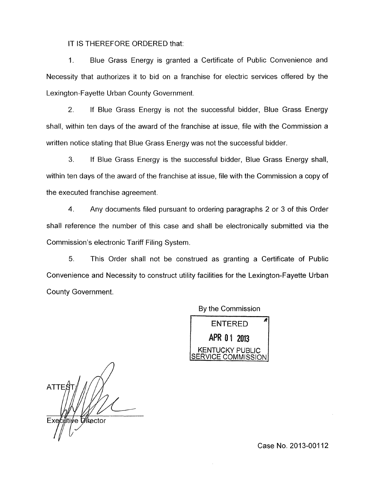IT IS THEREFORE ORDERED that:

1. Blue Grass Energy is granted a Certificate of Public Convenience and Necessity that authorizes it to bid on a franchise for electric services offered by the Lexington-Fayette Urban County Government.

*2.* If Blue Grass Energy is not the successful bidder, Blue Grass Energy shall, within ten days of the award of the franchise at issue, file with the Commission a written notice stating that Blue Grass Energy was not the successful bidder.

*3.* If Blue Grass Energy is the successful bidder, Blue Grass Energy shall, within ten days of the award of the franchise at issue, file with the Commission a copy of the executed franchise agreement.

**4.** Any documents filed pursuant to ordering paragraphs 2 or 3 of this Order shall reference the number of this case and shall be electronically submitted via the Commission's electronic Tariff Filing System.

5. This Order shall not be construed as granting a Certificate of Public Convenience and Necessity to construct utility facilities for the Lexington-Fayette Urban County Government.

> ENTERED *<sup>A</sup>* APR 01 2013 KENTUCKY PUBLIC ERVICE COMMISSION

By the Commission

*n*  **ATTES** Executive Director

Case No. 2013-00112